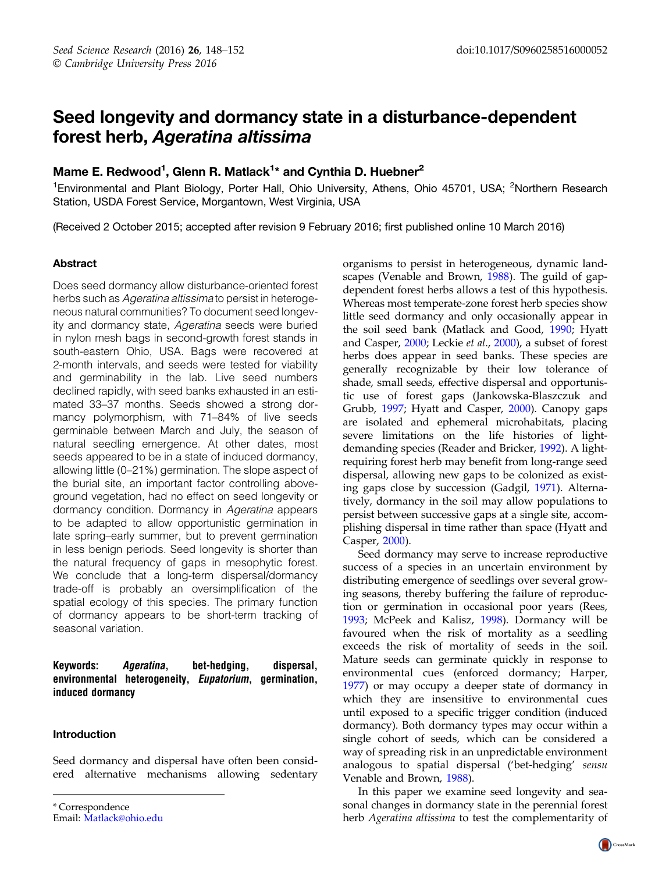# Seed longevity and dormancy state in a disturbance-dependent forest herb, Ageratina altissima

# Mame E. Redwood<sup>1</sup>, Glenn R. Matlack<sup>1</sup>\* and Cynthia D. Huebner<sup>2</sup>

<sup>1</sup>Environmental and Plant Biology, Porter Hall, Ohio University, Athens, Ohio 45701, USA; <sup>2</sup>Northern Research Station, USDA Forest Service, Morgantown, West Virginia, USA

(Received 2 October 2015; accepted after revision 9 February 2016; first published online 10 March 2016)

## Abstract

Does seed dormancy allow disturbance-oriented forest herbs such as Ageratina altissima to persist in heterogeneous natural communities? To document seed longevity and dormancy state, Ageratina seeds were buried in nylon mesh bags in second-growth forest stands in south-eastern Ohio, USA. Bags were recovered at 2-month intervals, and seeds were tested for viability and germinability in the lab. Live seed numbers declined rapidly, with seed banks exhausted in an estimated 33–37 months. Seeds showed a strong dormancy polymorphism, with 71–84% of live seeds germinable between March and July, the season of natural seedling emergence. At other dates, most seeds appeared to be in a state of induced dormancy, allowing little (0–21%) germination. The slope aspect of the burial site, an important factor controlling aboveground vegetation, had no effect on seed longevity or dormancy condition. Dormancy in Ageratina appears to be adapted to allow opportunistic germination in late spring–early summer, but to prevent germination in less benign periods. Seed longevity is shorter than the natural frequency of gaps in mesophytic forest. We conclude that a long-term dispersal/dormancy trade-off is probably an oversimplification of the spatial ecology of this species. The primary function of dormancy appears to be short-term tracking of seasonal variation.

## Keywords: Ageratina, bet-hedging, dispersal, environmental heterogeneity, Eupatorium, germination, induced dormancy

#### Introduction

Seed dormancy and dispersal have often been considered alternative mechanisms allowing sedentary

\* Correspondence Email: [Matlack@ohio.edu](mailto:Matlack@ohio.edu) organisms to persist in heterogeneous, dynamic landscapes (Venable and Brown, 1988). The guild of gapdependent forest herbs allows a test of this hypothesis. Whereas most temperate-zone forest herb species show little seed dormancy and only occasionally appear in the soil seed bank (Matlack and Good, 1990; Hyatt and Casper, 2000; Leckie et al., 2000), a subset of forest herbs does appear in seed banks. These species are generally recognizable by their low tolerance of shade, small seeds, effective dispersal and opportunistic use of forest gaps (Jankowska-Blaszczuk and Grubb, 1997; Hyatt and Casper, 2000). Canopy gaps are isolated and ephemeral microhabitats, placing severe limitations on the life histories of lightdemanding species (Reader and Bricker, 1992). A lightrequiring forest herb may benefit from long-range seed dispersal, allowing new gaps to be colonized as existing gaps close by succession (Gadgil, 1971). Alternatively, dormancy in the soil may allow populations to persist between successive gaps at a single site, accomplishing dispersal in time rather than space (Hyatt and Casper, 2000).

Seed dormancy may serve to increase reproductive success of a species in an uncertain environment by distributing emergence of seedlings over several growing seasons, thereby buffering the failure of reproduction or germination in occasional poor years (Rees, 1993; McPeek and Kalisz, 1998). Dormancy will be favoured when the risk of mortality as a seedling exceeds the risk of mortality of seeds in the soil. Mature seeds can germinate quickly in response to environmental cues (enforced dormancy; Harper, 1977) or may occupy a deeper state of dormancy in which they are insensitive to environmental cues until exposed to a specific trigger condition (induced dormancy). Both dormancy types may occur within a single cohort of seeds, which can be considered a way of spreading risk in an unpredictable environment analogous to spatial dispersal ('bet-hedging' sensu Venable and Brown, 1988).

In this paper we examine seed longevity and seasonal changes in dormancy state in the perennial forest herb Ageratina altissima to test the complementarity of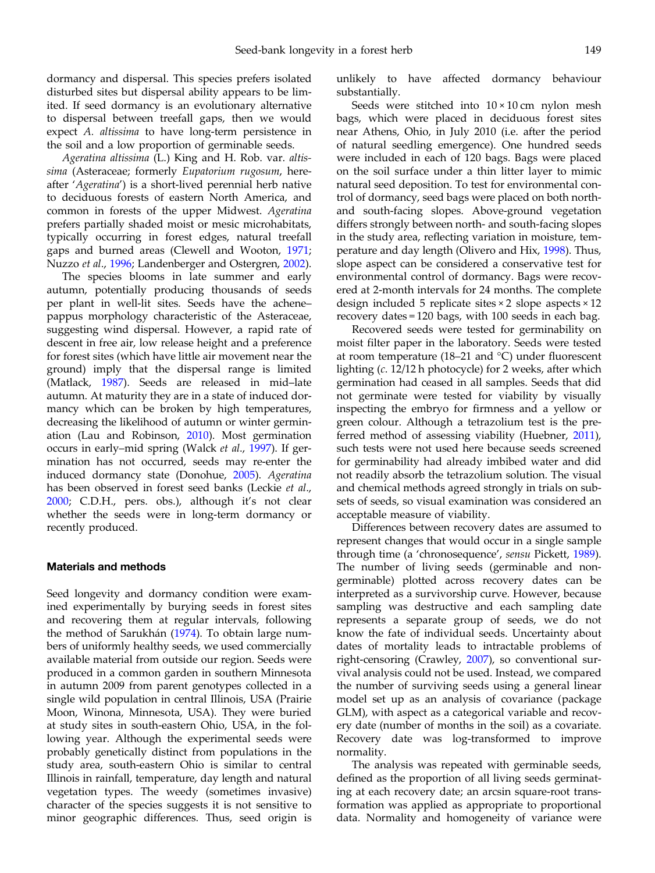dormancy and dispersal. This species prefers isolated disturbed sites but dispersal ability appears to be limited. If seed dormancy is an evolutionary alternative to dispersal between treefall gaps, then we would expect A. altissima to have long-term persistence in the soil and a low proportion of germinable seeds.

Ageratina altissima (L.) King and H. Rob. var. altissima (Asteraceae; formerly Eupatorium rugosum, hereafter 'Ageratina') is a short-lived perennial herb native to deciduous forests of eastern North America, and common in forests of the upper Midwest. Ageratina prefers partially shaded moist or mesic microhabitats, typically occurring in forest edges, natural treefall gaps and burned areas (Clewell and Wooton, 1971; Nuzzo et al., 1996; Landenberger and Ostergren, 2002).

The species blooms in late summer and early autumn, potentially producing thousands of seeds per plant in well-lit sites. Seeds have the achene– pappus morphology characteristic of the Asteraceae, suggesting wind dispersal. However, a rapid rate of descent in free air, low release height and a preference for forest sites (which have little air movement near the ground) imply that the dispersal range is limited (Matlack, 1987). Seeds are released in mid–late autumn. At maturity they are in a state of induced dormancy which can be broken by high temperatures, decreasing the likelihood of autumn or winter germination (Lau and Robinson, 2010). Most germination occurs in early–mid spring (Walck et al., 1997). If germination has not occurred, seeds may re-enter the induced dormancy state (Donohue, 2005). Ageratina has been observed in forest seed banks (Leckie et al., 2000; C.D.H., pers. obs.), although it's not clear whether the seeds were in long-term dormancy or recently produced.

#### Materials and methods

Seed longevity and dormancy condition were examined experimentally by burying seeds in forest sites and recovering them at regular intervals, following the method of Sarukhán (1974). To obtain large numbers of uniformly healthy seeds, we used commercially available material from outside our region. Seeds were produced in a common garden in southern Minnesota in autumn 2009 from parent genotypes collected in a single wild population in central Illinois, USA (Prairie Moon, Winona, Minnesota, USA). They were buried at study sites in south-eastern Ohio, USA, in the following year. Although the experimental seeds were probably genetically distinct from populations in the study area, south-eastern Ohio is similar to central Illinois in rainfall, temperature, day length and natural vegetation types. The weedy (sometimes invasive) character of the species suggests it is not sensitive to minor geographic differences. Thus, seed origin is

unlikely to have affected dormancy behaviour substantially.

Seeds were stitched into  $10 \times 10$  cm nylon mesh bags, which were placed in deciduous forest sites near Athens, Ohio, in July 2010 (i.e. after the period of natural seedling emergence). One hundred seeds were included in each of 120 bags. Bags were placed on the soil surface under a thin litter layer to mimic natural seed deposition. To test for environmental control of dormancy, seed bags were placed on both northand south-facing slopes. Above-ground vegetation differs strongly between north- and south-facing slopes in the study area, reflecting variation in moisture, temperature and day length (Olivero and Hix, 1998). Thus, slope aspect can be considered a conservative test for environmental control of dormancy. Bags were recovered at 2-month intervals for 24 months. The complete design included 5 replicate sites × 2 slope aspects × 12 recovery dates = 120 bags, with 100 seeds in each bag.

Recovered seeds were tested for germinability on moist filter paper in the laboratory. Seeds were tested at room temperature (18–21 and °C) under fluorescent lighting (c. 12/12 h photocycle) for 2 weeks, after which germination had ceased in all samples. Seeds that did not germinate were tested for viability by visually inspecting the embryo for firmness and a yellow or green colour. Although a tetrazolium test is the preferred method of assessing viability (Huebner, 2011), such tests were not used here because seeds screened for germinability had already imbibed water and did not readily absorb the tetrazolium solution. The visual and chemical methods agreed strongly in trials on subsets of seeds, so visual examination was considered an acceptable measure of viability.

Differences between recovery dates are assumed to represent changes that would occur in a single sample through time (a 'chronosequence', sensu Pickett, 1989). The number of living seeds (germinable and nongerminable) plotted across recovery dates can be interpreted as a survivorship curve. However, because sampling was destructive and each sampling date represents a separate group of seeds, we do not know the fate of individual seeds. Uncertainty about dates of mortality leads to intractable problems of right-censoring (Crawley, 2007), so conventional survival analysis could not be used. Instead, we compared the number of surviving seeds using a general linear model set up as an analysis of covariance (package GLM), with aspect as a categorical variable and recovery date (number of months in the soil) as a covariate. Recovery date was log-transformed to improve normality.

The analysis was repeated with germinable seeds, defined as the proportion of all living seeds germinating at each recovery date; an arcsin square-root transformation was applied as appropriate to proportional data. Normality and homogeneity of variance were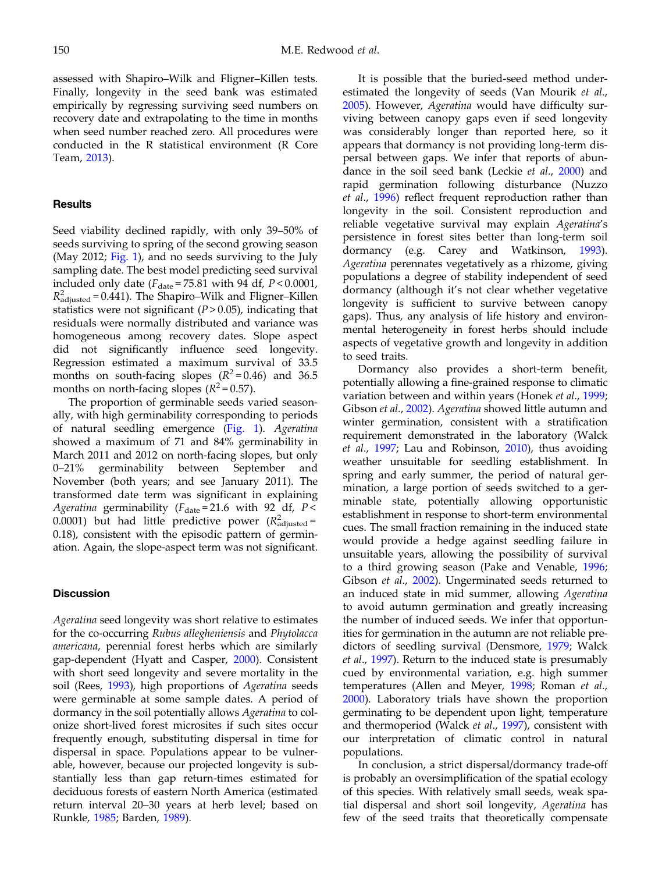assessed with Shapiro–Wilk and Fligner–Killen tests. Finally, longevity in the seed bank was estimated empirically by regressing surviving seed numbers on recovery date and extrapolating to the time in months when seed number reached zero. All procedures were conducted in the R statistical environment (R Core Team, 2013).

#### **Results**

Seed viability declined rapidly, with only 39–50% of seeds surviving to spring of the second growing season (May 2012; [Fig. 1\)](#page-3-0), and no seeds surviving to the July sampling date. The best model predicting seed survival included only date  $(F_{\text{date}} = 75.81 \text{ with } 94 \text{ df}, P < 0.0001,$  $R^2_{\text{adjusted}}$  = 0.441). The Shapiro–Wilk and Fligner–Killen statistics were not significant  $(P > 0.05)$ , indicating that residuals were normally distributed and variance was homogeneous among recovery dates. Slope aspect did not significantly influence seed longevity. Regression estimated a maximum survival of 33.5 months on south-facing slopes  $(R^2 = 0.46)$  and 36.5 months on north-facing slopes ( $R^2$  = 0.57).

The proportion of germinable seeds varied seasonally, with high germinability corresponding to periods of natural seedling emergence [\(Fig. 1\)](#page-3-0). Ageratina showed a maximum of 71 and 84% germinability in March 2011 and 2012 on north-facing slopes, but only 0–21% germinability between September and November (both years; and see January 2011). The transformed date term was significant in explaining Ageratina germinability ( $F_{\text{date}} = 21.6$  with 92 df,  $P <$ 0.0001) but had little predictive power ( $R^2_{\rm adjusted}$ = 0.18), consistent with the episodic pattern of germination. Again, the slope-aspect term was not significant.

#### **Discussion**

Ageratina seed longevity was short relative to estimates for the co-occurring Rubus allegheniensis and Phytolacca americana, perennial forest herbs which are similarly gap-dependent (Hyatt and Casper, 2000). Consistent with short seed longevity and severe mortality in the soil (Rees, 1993), high proportions of Ageratina seeds were germinable at some sample dates. A period of dormancy in the soil potentially allows Ageratina to colonize short-lived forest microsites if such sites occur frequently enough, substituting dispersal in time for dispersal in space. Populations appear to be vulnerable, however, because our projected longevity is substantially less than gap return-times estimated for deciduous forests of eastern North America (estimated return interval 20–30 years at herb level; based on Runkle, 1985; Barden, 1989).

It is possible that the buried-seed method underestimated the longevity of seeds (Van Mourik et al., 2005). However, Ageratina would have difficulty surviving between canopy gaps even if seed longevity was considerably longer than reported here, so it appears that dormancy is not providing long-term dispersal between gaps. We infer that reports of abundance in the soil seed bank (Leckie et al., 2000) and rapid germination following disturbance (Nuzzo et al., 1996) reflect frequent reproduction rather than longevity in the soil. Consistent reproduction and reliable vegetative survival may explain Ageratina's persistence in forest sites better than long-term soil dormancy (e.g. Carey and Watkinson, 1993). Ageratina perennates vegetatively as a rhizome, giving populations a degree of stability independent of seed dormancy (although it's not clear whether vegetative longevity is sufficient to survive between canopy gaps). Thus, any analysis of life history and environmental heterogeneity in forest herbs should include aspects of vegetative growth and longevity in addition to seed traits.

Dormancy also provides a short-term benefit, potentially allowing a fine-grained response to climatic variation between and within years (Honek et al., 1999; Gibson et al., 2002). Ageratina showed little autumn and winter germination, consistent with a stratification requirement demonstrated in the laboratory (Walck et al., 1997; Lau and Robinson, 2010), thus avoiding weather unsuitable for seedling establishment. In spring and early summer, the period of natural germination, a large portion of seeds switched to a germinable state, potentially allowing opportunistic establishment in response to short-term environmental cues. The small fraction remaining in the induced state would provide a hedge against seedling failure in unsuitable years, allowing the possibility of survival to a third growing season (Pake and Venable, 1996; Gibson et al., 2002). Ungerminated seeds returned to an induced state in mid summer, allowing Ageratina to avoid autumn germination and greatly increasing the number of induced seeds. We infer that opportunities for germination in the autumn are not reliable predictors of seedling survival (Densmore, 1979; Walck et al., 1997). Return to the induced state is presumably cued by environmental variation, e.g. high summer temperatures (Allen and Meyer, 1998; Roman et al., 2000). Laboratory trials have shown the proportion germinating to be dependent upon light, temperature and thermoperiod (Walck et al., 1997), consistent with our interpretation of climatic control in natural populations.

In conclusion, a strict dispersal/dormancy trade-off is probably an oversimplification of the spatial ecology of this species. With relatively small seeds, weak spatial dispersal and short soil longevity, Ageratina has few of the seed traits that theoretically compensate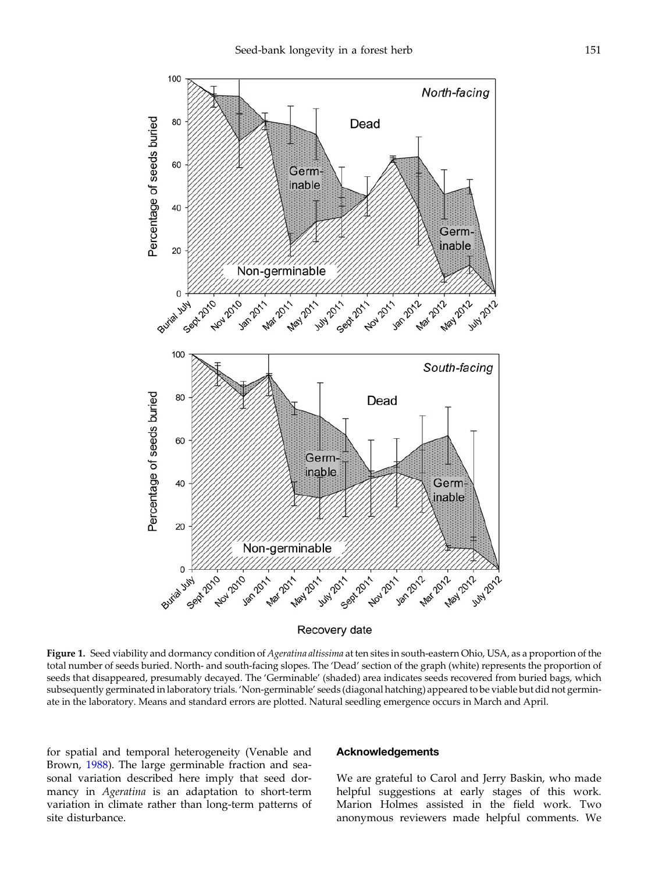<span id="page-3-0"></span>

Recovery date

Figure 1. Seed viability and dormancy condition of Ageratina altissima at ten sites in south-eastern Ohio, USA, as a proportion of the total number of seeds buried. North- and south-facing slopes. The 'Dead' section of the graph (white) represents the proportion of seeds that disappeared, presumably decayed. The 'Germinable' (shaded) area indicates seeds recovered from buried bags, which subsequently germinated in laboratory trials. 'Non-germinable' seeds (diagonal hatching) appeared to be viable but did not germinate in the laboratory. Means and standard errors are plotted. Natural seedling emergence occurs in March and April.

for spatial and temporal heterogeneity (Venable and Brown, 1988). The large germinable fraction and seasonal variation described here imply that seed dormancy in Ageratina is an adaptation to short-term variation in climate rather than long-term patterns of site disturbance.

#### Acknowledgements

We are grateful to Carol and Jerry Baskin, who made helpful suggestions at early stages of this work. Marion Holmes assisted in the field work. Two anonymous reviewers made helpful comments. We